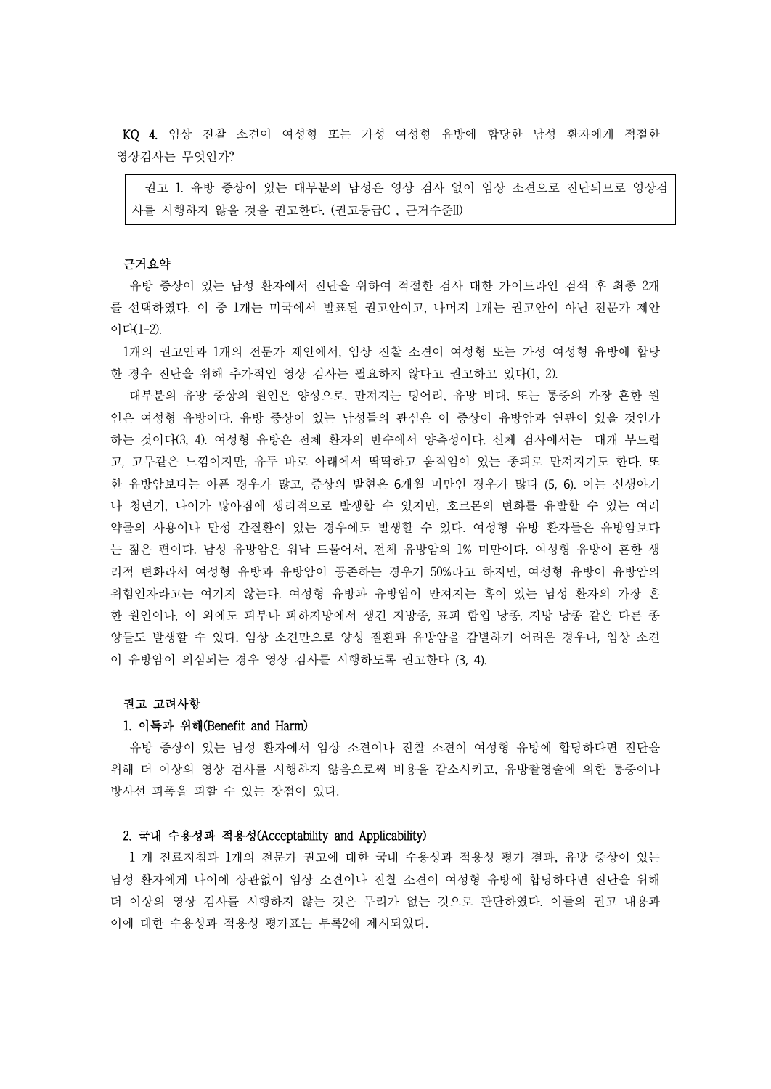KQ 4. 임상 진찰 소견이 여성형 또는 가성 여성형 유방에 합당한 남성 환자에게 적절한 영상검사는 무엇인가?

권고 1. 유방 증상이 있는 대부분의 남성은 영상 검사 없이 임상 소견으로 진단되므로 영상검 사를 시행하지 않을 것을 권고한다. (권고등급C , 근거수준II)

#### 근거요약

유방 증상이 있는 남성 환자에서 진단을 위하여 적절한 검사 대한 가이드라인 검색 후 최종 2개 를 선택하였다. 이 중 1개는 미국에서 발표된 권고안이고, 나머지 1개는 권고안이 아닌 전문가 제안 이다(1-2).

1개의 권고안과 1개의 전문가 제안에서, 임상 진찰 소견이 여성형 또는 가성 여성형 유방에 합당 한 경우 진단을 위해 추가적인 영상 검사는 필요하지 않다고 권고하고 있다(1, 2).

대부분의 유방 증상의 원인은 양성으로, 만져지는 덩어리, 유방 비대, 또는 통증의 가장 흔한 원 인은 여성형 유방이다. 유방 증상이 있는 남성들의 관심은 이 증상이 유방암과 연관이 있을 것인가 하는 것이다(3, 4). 여성형 유방은 전체 환자의 반수에서 양측성이다. 신체 검사에서는 대개 부드럽 고, 고무같은 느낌이지만, 유두 바로 아래에서 딱딱하고 움직임이 있는 종괴로 만져지기도 한다. 또 한 유방암보다는 아픈 경우가 많고, 증상의 발현은 6개월 미만인 경우가 많다 (5, 6). 이는 신생아기 나 청년기, 나이가 많아짐에 생리적으로 발생할 수 있지만, 호르몬의 변화를 유발할 수 있는 여러 약물의 사용이나 만성 간질환이 있는 경우에도 발생할 수 있다. 여성형 유방 환자들은 유방암보다 는 젊은 편이다. 남성 유방암은 워낙 드물어서, 전체 유방암의 1% 미만이다. 여성형 유방이 흔한 생 리적 변화라서 여성형 유방과 유방암이 공존하는 경우기 50%라고 하지만, 여성형 유방이 유방암의 위험인자라고는 여기지 않는다. 여성형 유방과 유방암이 만져지는 혹이 있는 남성 환자의 가장 흔 한 원인이나, 이 외에도 피부나 피하지방에서 생긴 지방종, 표피 함입 낭종, 지방 낭종 같은 다른 종 양들도 발생할 수 있다. 임상 소견만으로 양성 질환과 유방암을 감별하기 어려운 경우나, 임상 소견 이 유방암이 의심되는 경우 영상 검사를 시행하도록 권고한다 (3, 4).

## 권고 고려사항

#### 1. 이득과 위해(Benefit and Harm)

유방 증상이 있는 남성 환자에서 임상 소견이나 진찰 소견이 여성형 유방에 합당하다면 진단을 위해 더 이상의 영상 검사를 시행하지 않음으로써 비용을 감소시키고, 유방촬영술에 의한 통증이나 방사선 피폭을 피할 수 있는 장점이 있다.

# 2. 국내 수용성과 적용성(Acceptability and Applicability)

1 개 진료지침과 1개의 전문가 권고에 대한 국내 수용성과 적용성 평가 결과, 유방 증상이 있는 남성 환자에게 나이에 상관없이 임상 소견이나 진찰 소견이 여성형 유방에 합당하다면 진단을 위해 더 이상의 영상 검사를 시행하지 않는 것은 무리가 없는 것으로 판단하였다. 이들의 권고 내용과 이에 대한 수용성과 적용성 평가표는 부록2에 제시되었다.